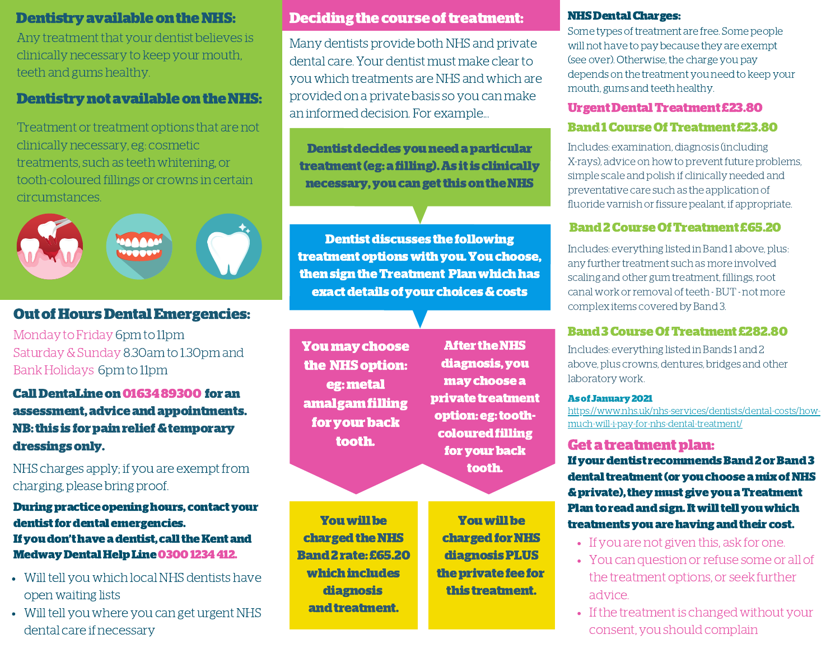Any treatment that your dentist believes is clinically necessary to keep your mouth, teeth and gums healthy.

# Dentistry not available on the NHS:

Treatment or treatment options that are not clinically necessary, eg: cosmetic treatments, such as teeth whitening, or tooth-coloured fillings or crowns in certain circumstances.



# OutofHoursDentalEmergencies:

Monday to Friday 6pm to 11pm Saturday&Sunday 8.30am to 1.30pm and Bank Holidays 6pm to 11pm

Call DentaLine on 0163489300 for an assessment,adviceandappointments. NB: this is for pain relief & temporary dressingsonly.

# NHS charges apply; if you are exempt from charging, please bring proof.

Duringpracticeopeninghours, contactyour dentist for dental emergencies. If you don't have a dentist, call the Kent and Medway Dental Help Line 0300 1234 412.

- Will tell you which local NHS dentists have open waiting lists
- Will tell you where you can get urgent NHS dental care if necessary

# Dentistry available on the NHS: Deciding the course of treatment:

Many dentists provide both NHS and private dental care. Your dentist must make clearto you which treatments are NHS and which are provided on a private basis so you can make an informed decision. For example...

Dentist decides you need a particular treatment(eg:afilling).As itis clinically necessary, you can get this on the NHS

**Dentist discusses the following** treatmentoptionswithyou.Youchoose, thensigntheTreatment Planwhichhas exactdetailsofyour choices&costs

Youmaychoose the NHS option: eg:metal amalgamfilling for your back tooth.

**After the NHS** diagnosis,you maychoosea private treatment option:eg:toothcoloured filling for your back tooth.

Youwillbe charged the NHS Band2rate: £65.20 whichincludes diagnosis and treatment.

Youwillbe charged for NHS diagnosisPLUS the private fee for this treatment.

#### **NHS Dental Charges:**

Some types of treatment are free. Some people will not have to pay because they are exempt (see over). Otherwise, the charge you pay depends on the treatment you need to keep your mouth, gums and teeth healthy.

#### UrgentDentalTreatment £23.80

## Band1CourseOfTreatment £23.80

Includes: examination, diagnosis (including X-rays), advice on how to prevent future problems, simple scale and polish if clinically needed and preventative care such as the application of fluoride varnish or fissure pealant, if appropriate.

## Band2CourseOfTreatment £65.20

Includes: everything listed in Band 1 above, plus: any further treatment such as more involved scaling and other gum treatment, fillings,root canal work or removal of teeth - BUT - not more complex items covered by Band 3.

## Band3CourseOfTreatment £282.80

Includes: everything listed in Bands 1 and 2 above, plus crowns, dentures, bridges and other laboratory work.

#### Asof January2021

[https://www.nhs.uk/nhs-services/dentists/dental-costs/how](https://www.nhs.uk/nhs-services/dentists/dental-costs/how-much-will-i-pay-for-nhs-dental-treatment/)much-will-i-pay-for-nhs-dental-treatment/

## Get a treatment plan:

If your dentist recommends Band 2 or Band 3 dental treatment (or you choose a mix of NHS &private),theymustgiveyouaTreatment Plan to read and sign. It will tell you which treatments you are having and their cost.

- If you are not given this, ask for one.
- You can question or refuse some or all of the treatment options, or seek further advice.
- If the treatment is changed without your consent, you should complain